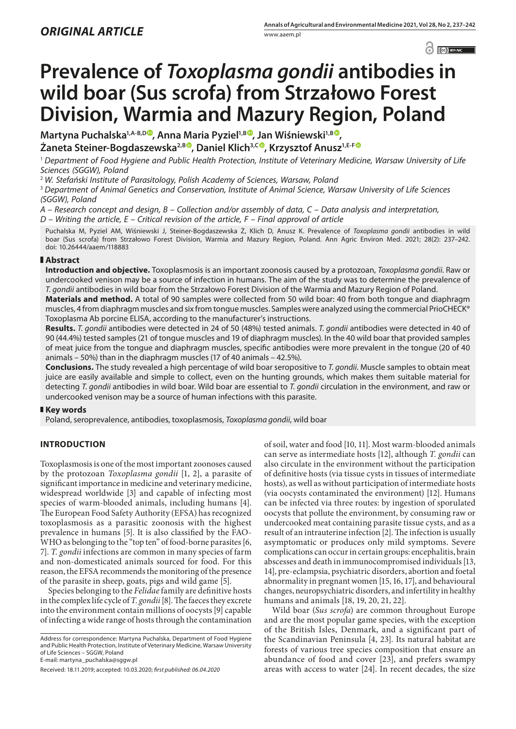$\odot$   $\odot$  BY-NC

# **Prevalence of** *Toxoplasma gondii* **antibodies in wild boar (Sus scrofa) from Strzałowo Forest Division, Warmia and Mazury Region, Poland**

Martyna Puchalska<sup>1[,](https://orcid.org/0000-0002-9212-8612)A-B,D®</sup>, Anna Maria Pyziel<sup>1,B®</sup>, Jan Wiśniewski<sup>1,B®</sup>, **Żaneta Steiner-Bogdaszewska2,[B](https://orcid.org/0000-0001-6645-6172) , Daniel Klich3,[C](https://orcid.org/0000-0001-6276-2316) , Krzysztof Anusz1,E-F**

<sup>1</sup> *Department of Food Hygiene and Public Health Protection, Institute of Veterinary Medicine, Warsaw University of Life Sciences (SGGW), Poland*

<sup>2</sup> *W. Stefański Institute of Parasitology, Polish Academy of Sciences, Warsaw, Poland*

<sup>3</sup> *Department of Animal Genetics and Conservation, Institute of Animal Science, Warsaw University of Life Sciences (SGGW), Poland*

*A – Research concept and design, B – Collection and/or assembly of data, C – Data analysis and interpretation,* 

*D – Writing the article, E – Critical revision of the article, F – Final approval of article*

Puchalska M, Pyziel AM, Wiśniewski J, Steiner-Bogdaszewska Ż, Klich D, Anusz K. Prevalence of *Toxoplasma gondii* antibodies in wild boar (Sus scrofa) from Strzałowo Forest Division, Warmia and Mazury Region, Poland. Ann Agric Environ Med. 2021; 28(2): 237–242. doi: 10.26444/aaem/118883

# **Abstract**

**Introduction and objective.** Toxoplasmosis is an important zoonosis caused by a protozoan, *Toxoplasma gondii*. Raw or undercooked venison may be a source of infection in humans. The aim of the study was to determine the prevalence of *T. gondii* antibodies in wild boar from the Strzałowo Forest Division of the Warmia and Mazury Region of Poland.

**Materials and method.** A total of 90 samples were collected from 50 wild boar: 40 from both tongue and diaphragm muscles, 4 from diaphragm muscles and six from tongue muscles. Samples were analyzed using the commercial PrioCHECK® Toxoplasma Ab porcine ELISA, according to the manufacturer's instructions.

**Results.** *T. gondii* antibodies were detected in 24 of 50 (48%) tested animals. *T. gondii* antibodies were detected in 40 of 90 (44.4%) tested samples (21 of tongue muscles and 19 of diaphragm muscles). In the 40 wild boar that provided samples of meat juice from the tongue and diaphragm muscles, specific antibodies were more prevalent in the tongue (20 of 40 animals – 50%) than in the diaphragm muscles (17 of 40 animals – 42.5%).

**Conclusions.** The study revealed a high percentage of wild boar seropositive to *T. gondii*. Muscle samples to obtain meat juice are easily available and simple to collect, even on the hunting grounds, which makes them suitable material for detecting *T. gondii* antibodies in wild boar. Wild boar are essential to *T. gondii* circulation in the environment, and raw or undercooked venison may be a source of human infections with this parasite.

# **Key words**

Poland, seroprevalence, antibodies, toxoplasmosis, *Toxoplasma gondii*, wild boar

# **INTRODUCTION**

Toxoplasmosis is one of the most important zoonoses caused by the protozoan *Toxoplasma gondii* [1, 2], a parasite of significant importance in medicine and veterinary medicine, widespread worldwide [3] and capable of infecting most species of warm-blooded animals, including humans [4]. The European Food Safety Authority (EFSA) has recognized toxoplasmosis as a parasitic zoonosis with the highest prevalence in humans [5]. It is also classified by the FAO-WHO as belonging to the "top ten" of food-borne parasites [6, 7]. *T. gondii* infections are common in many species of farm and non-domesticated animals sourced for food. For this reason, the EFSA recommends the monitoring of the presence of the parasite in sheep, goats, pigs and wild game [5].

Species belonging to the *Felidae* family are definitive hosts in the complex life cycle of *T. gondii* [8]. The faeces they excrete into the environment contain millions of oocysts [9] capable of infecting a wide range of hosts through the contamination

Address for correspondence: Martyna Puchalska, Department of Food Hygiene and Public Health Protection, Institute of Veterinary Medicine, Warsaw University of Life Sciences – SGGW, Poland

E-mail: martyna\_puchalska@sggw.pl

of soil, water and food [10, 11]. Most warm-blooded animals can serve as intermediate hosts [12], although *T. gondii* can also circulate in the environment without the participation of definitive hosts (via tissue cysts in tissues of intermediate hosts), as well as without participation of intermediate hosts (via oocysts contaminated the environment) [12]. Humans can be infected via three routes: by ingestion of sporulated oocysts that pollute the environment, by consuming raw or undercooked meat containing parasite tissue cysts, and as a result of an intrauterine infection [2]. The infection is usually asymptomatic or produces only mild symptoms. Severe complications can occur in certain groups: encephalitis, brain abscesses and death in immunocompromised individuals [13, 14], pre-eclampsia, psychiatric disorders, abortion and foetal abnormality in pregnant women [15, 16, 17], and behavioural changes, neuropsychiatric disorders, and infertility in healthy humans and animals [18, 19, 20, 21, 22].

Wild boar (*Sus scrofa*) are common throughout Europe and are the most popular game species, with the exception of the British Isles, Denmark, and a significant part of the Scandinavian Peninsula [4, 23]. Its natural habitat are forests of various tree species composition that ensure an abundance of food and cover [23], and prefers swampy areas with access to water [24]. In recent decades, the size

Received: 18.11.2019; accepted: 10.03.2020; *first published: 06.04.2020*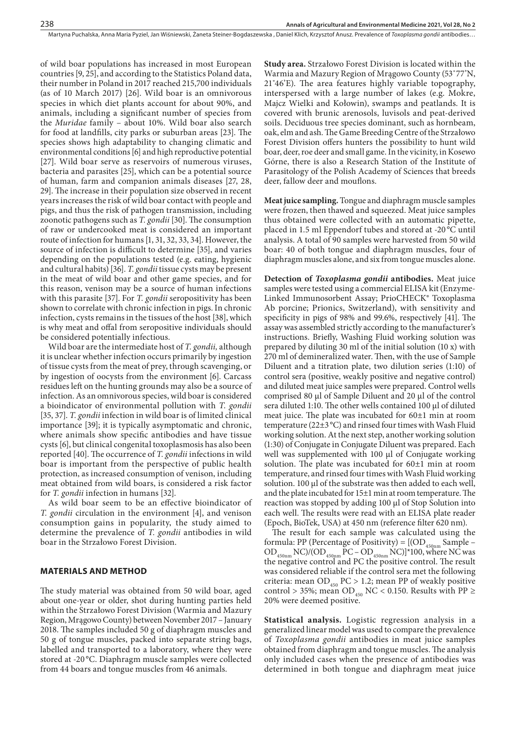of wild boar populations has increased in most European countries [9, 25], and according to the Statistics Poland data, their number in Poland in 2017 reached 215,700 individuals (as of 10 March 2017) [26]. Wild boar is an omnivorous species in which diet plants account for about 90%, and animals, including a significant number of species from the *Muridae* family – about 10%. Wild boar also search for food at landfills, city parks or suburban areas [23]. The species shows high adaptability to changing climatic and environmental conditions [6] and high reproductive potential [27]. Wild boar serve as reservoirs of numerous viruses, bacteria and parasites [25], which can be a potential source of human, farm and companion animals diseases [27, 28, 29]. The increase in their population size observed in recent years increases the risk of wild boar contact with people and pigs, and thus the risk of pathogen transmission, including zoonotic pathogens such as *T. gondii* [30]. The consumption of raw or undercooked meat is considered an important route of infection for humans [1, 31, 32, 33, 34]. However, the source of infection is difficult to determine [35], and varies depending on the populations tested (e.g. eating, hygienic and cultural habits) [36]. *T. gondii* tissue cysts may be present in the meat of wild boar and other game species, and for this reason, venison may be a source of human infections with this parasite [37]. For *T. gondii* seropositivity has been shown to correlate with chronic infection in pigs. In chronic infection, cysts remains in the tissues of the host [38], which is why meat and offal from seropositive individuals should be considered potentially infectious.

Wild boar are the intermediate host of *T. gondii,* although it is unclear whether infection occurs primarily by ingestion of tissue cysts from the meat of prey, through scavenging, or by ingestion of oocysts from the environment [6]. Carcass residues left on the hunting grounds may also be a source of infection. As an omnivorous species, wild boar is considered a bioindicator of environmental pollution with *T. gondii* [35, 37]. *T. gondii* infection in wild boar is of limited clinical importance [39]; it is typically asymptomatic and chronic, where animals show specific antibodies and have tissue cysts [6], but clinical congenital toxoplasmosis has also been reported [40]. The occurrence of *T. gondii* infections in wild boar is important from the perspective of public health protection, as increased consumption of venison, including meat obtained from wild boars, is considered a risk factor for *T. gondii* infection in humans [32].

As wild boar seem to be an effective bioindicator of *T. gondii* circulation in the environment [4], and venison consumption gains in popularity, the study aimed to determine the prevalence of *T. gondii* antibodies in wild boar in the Strzałowo Forest Division.

#### **MATERIALS AND METHOD**

The study material was obtained from 50 wild boar, aged about one-year or older, shot during hunting parties held within the Strzałowo Forest Division (Warmia and Mazury Region, Mrągowo County) between November 2017 – January 2018. The samples included 50 g of diaphragm muscles and 50 g of tongue muscles, packed into separate string bags, labelled and transported to a laboratory, where they were stored at -20 °C. Diaphragm muscle samples were collected from 44 boars and tongue muscles from 46 animals.

**Study area.** Strzałowo Forest Division is located within the Warmia and Mazury Region of Mrągowo County (53˚77'N, 21˚46'E). The area features highly variable topography, interspersed with a large number of lakes (e.g. Mokre, Majcz Wielki and Kołowin), swamps and peatlands. It is covered with brunic arenosols, luvisols and peat-derived soils. Deciduous tree species dominant, such as hornbeam, oak, elm and ash. The Game Breeding Centre of the Strzałowo Forest Division offers hunters the possibility to hunt wild boar, deer, roe deer and small game. In the vicinity, in Kosewo Górne, there is also a Research Station of the Institute of Parasitology of the Polish Academy of Sciences that breeds deer, fallow deer and mouflons.

**Meat juice sampling.** Tongue and diaphragm muscle samples were frozen, then thawed and squeezed. Meat juice samples thus obtained were collected with an automatic pipette, placed in 1.5 ml Eppendorf tubes and stored at -20 °C until analysis. A total of 90 samples were harvested from 50 wild boar: 40 of both tongue and diaphragm muscles, four of diaphragm muscles alone, and six from tongue muscles alone.

**Detection of** *Toxoplasma gondii* **antibodies.** Meat juice samples were tested using a commercial ELISA kit (Enzyme-Linked Immunosorbent Assay; PrioCHECK® Toxoplasma Ab porcine; Prionics, Switzerland), with sensitivity and specificity in pigs of 98% and 99.6%, respectively [41]. The assay was assembled strictly according to the manufacturer's instructions. Briefly, Washing Fluid working solution was prepared by diluting 30 ml of the initial solution (10 x) with 270 ml of demineralized water. Then, with the use of Sample Diluent and a titration plate, two dilution series (1:10) of control sera (positive, weakly positive and negative control) and diluted meat juice samples were prepared. Control wells comprised 80 µl of Sample Diluent and 20 µl of the control sera diluted 1:10. The other wells contained 100 µl of diluted meat juice. The plate was incubated for 60±1 min at room temperature (22±3°C) and rinsed four times with Wash Fluid working solution. At the next step, another working solution (1:30) of Conjugate in Conjugate Diluent was prepared. Each well was supplemented with 100 µl of Conjugate working solution. The plate was incubated for 60±1 min at room temperature, and rinsed four times with Wash Fluid working solution. 100 µl of the substrate was then added to each well, and the plate incubated for 15±1 min at room temperature. The reaction was stopped by adding 100 µl of Stop Solution into each well. The results were read with an ELISA plate reader (Epoch, BioTek, USA) at 450 nm (reference filter 620 nm).

The result for each sample was calculated using the formula: PP (Percentage of Positivity) =  $[ (OD_{450nm}$  Sample –  $OD_{450nm}$  NC)/( $OD_{450nm}$  PC –  $OD_{450nm}$  NC)]\*100, where NC was the negative control and PC the positive control. The result was considered reliable if the control sera met the following criteria: mean  $OD_{450}$  PC > 1.2; mean PP of weakly positive control > 35%; mean OD<sub>450</sub> NC < 0.150. Results with PP  $\geq$ 20% were deemed positive.

**Statistical analysis.** Logistic regression analysis in a generalized linear model was used to compare the prevalence of *Toxoplasma gondii* antibodies in meat juice samples obtained from diaphragm and tongue muscles. The analysis only included cases when the presence of antibodies was determined in both tongue and diaphragm meat juice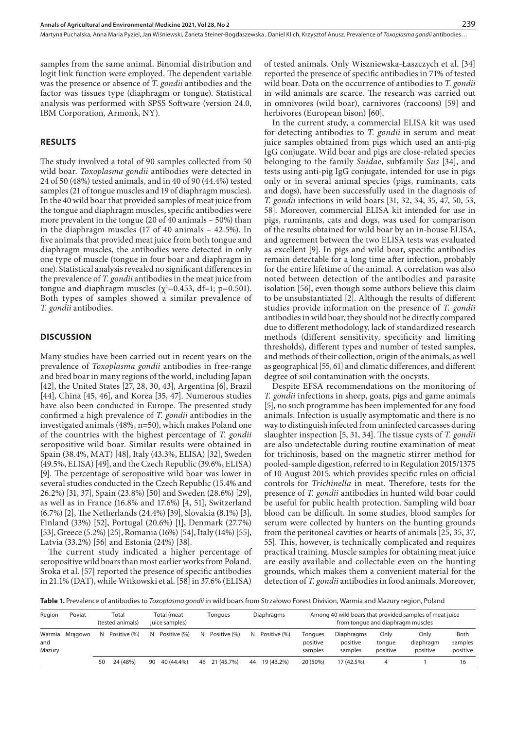samples from the same animal. Binomial distribution and logit link function were employed. The dependent variable was the presence or absence of *T. gondii* antibodies and the factor was tissues type (diaphragm or tongue). Statistical analysis was performed with SPSS Software (version 24.0, IBM Corporation, Armonk, NY).

## **RESULTS**

The study involved a total of 90 samples collected from 50 wild boar. *Toxoplasma gondii* antibodies were detected in 24 of 50 (48%) tested animals, and in 40 of 90 (44.4%) tested samples (21 of tongue muscles and 19 of diaphragm muscles). In the 40 wild boar that provided samples of meat juice from the tongue and diaphragm muscles, specific antibodies were more prevalent in the tongue (20 of 40 animals – 50%) than in the diaphragm muscles (17 of 40 animals – 42.5%). In five animals that provided meat juice from both tongue and diaphragm muscles, the antibodies were detected in only one type of muscle (tongue in four boar and diaphragm in one). Statistical analysis revealed no significant differences in the prevalence of *T. gondii* antibodies in the meat juice from tongue and diaphragm muscles ( $\chi^2$ =0.453, df=1; p=0.501). Both types of samples showed a similar prevalence of *T. gondii* antibodies.

## **DISCUSSION**

Many studies have been carried out in recent years on the prevalence of *Toxoplasma gondii* antibodies in free-range and bred boar in many regions of the world, including Japan [42], the United States [27, 28, 30, 43], Argentina [6], Brazil [44], China [45, 46], and Korea [35, 47]. Numerous studies have also been conducted in Europe. The presented study confirmed a high prevalence of *T. gondii* antibodies in the investigated animals (48%, n=50), which makes Poland one of the countries with the highest percentage of *T. gondii* seropositive wild boar. Similar results were obtained in Spain (38.4%, MAT) [48], Italy (43.3%, ELISA) [32], Sweden (49.5%, ELISA) [49], and the Czech Republic (39.6%, ELISA) [9]. The percentage of seropositive wild boar was lower in several studies conducted in the Czech Republic (15.4% and 26.2%) [31, 37], Spain (23.8%) [50] and Sweden (28.6%) [29], as well as in France (16.8% and 17.6%) [4, 51], Switzerland (6.7%) [2], The Netherlands (24.4%) [39], Slovakia (8.1%) [3], Finland (33%) [52], Portugal (20.6%) [1], Denmark (27.7%) [53], Greece (5.2%) [25], Romania (16%) [54], Italy (14%) [55], Latvia (33.2%) [56] and Estonia (24%) [38].

The current study indicated a higher percentage of seropositive wild boars than most earlier works from Poland. Sroka et al. [57] reported the presence of specific antibodies in 21.1% (DAT), while Witkowski et al. [58] in 37.6% (ELISA)

of tested animals. Only Wiszniewska-Łaszczych et al. [34] reported the presence of specific antibodies in 71% of tested wild boar. Data on the occurrence of antibodies to *T. gondii* in wild animals are scarce. The research was carried out in omnivores (wild boar), carnivores (raccoons) [59] and herbivores (European bison) [60].

In the current study, a commercial ELISA kit was used for detecting antibodies to *T. gondii* in serum and meat juice samples obtained from pigs which used an anti-pig IgG conjugate. Wild boar and pigs are close-related species belonging to the family *Suidae*, subfamily *Sus* [34], and tests using anti-pig IgG conjugate, intended for use in pigs only or in several animal species (pigs, ruminants, cats and dogs), have been successfully used in the diagnosis of *T. gondii* infections in wild boars [31, 32, 34, 35, 47, 50, 53, 58]. Moreover, commercial ELISA kit intended for use in pigs, ruminants, cats and dogs, was used for comparison of the results obtained for wild boar by an in-house ELISA, and agreement between the two ELISA tests was evaluated as excellent [9]. In pigs and wild boar, specific antibodies remain detectable for a long time after infection, probably for the entire lifetime of the animal. A correlation was also noted between detection of the antibodies and parasite isolation [56], even though some authors believe this claim to be unsubstantiated [2]. Although the results of different studies provide information on the presence of *T. gondii* antibodies in wild boar, they should not be directly compared due to different methodology, lack of standardized research methods (different sensitivity, specificity and limiting thresholds), different types and number of tested samples, and methods of their collection, origin of the animals, as well as geographical [55, 61] and climatic differences, and different degree of soil contamination with the oocysts.

Despite EFSA recommendations on the monitoring of *T. gondii* infections in sheep, goats, pigs and game animals [5], no such programme has been implemented for any food animals. Infection is usually asymptomatic and there is no way to distinguish infected from uninfected carcasses during slaughter inspection [5, 31, 34]. The tissue cysts of *T. gondii* are also undetectable during routine examination of meat for trichinosis, based on the magnetic stirrer method for pooled-sample digestion, referred to in Regulation 2015/1375 of 10 August 2015, which provides specific rules on official controls for *Trichinella* in meat. Therefore, tests for the presence of *T. gondii* antibodies in hunted wild boar could be useful for public health protection. Sampling wild boar blood can be difficult. In some studies, blood samples for serum were collected by hunters on the hunting grounds from the peritoneal cavities or hearts of animals [25, 35, 37, 55]. This, however, is technically complicated and requires practical training. Muscle samples for obtaining meat juice are easily available and collectable even on the hunting grounds, which makes them a convenient material for the detection of *T. gondii* antibodies in food animals. Moreover,

**Table 1.** Prevalence of antibodies to *Toxoplasma gondii* in wild boars from Strzałowo Forest Division, Warmia and Mazury region, Poland

| Region        | Poviat         | Total<br>(tested animals) |              | Total (meat<br>juice samples) |              | Tongues |               | Diaphragms |              | Among 40 wild boars that provided samples of meat juice<br>from tonque and diaphragm muscles |                                   |                            |                               |                             |
|---------------|----------------|---------------------------|--------------|-------------------------------|--------------|---------|---------------|------------|--------------|----------------------------------------------------------------------------------------------|-----------------------------------|----------------------------|-------------------------------|-----------------------------|
| and<br>Mazury | Warmia Mragowo | N.                        | Positive (%) | N.                            | Positive (%) | N.      | Positive (%)  | N          | Positive (%) | Tonaues<br>positive<br>samples                                                               | Diaphragms<br>positive<br>samples | Onlv<br>tonque<br>positive | Onlv<br>diaphragm<br>positive | Both<br>samples<br>positive |
|               |                | 50                        | 24 (48%)     | 90                            | 40 (44.4%)   |         | 46 21 (45.7%) | 44         | 19 (43.2%)   | 20 (50%)                                                                                     | 17 (42.5%)                        | 4                          |                               | 16                          |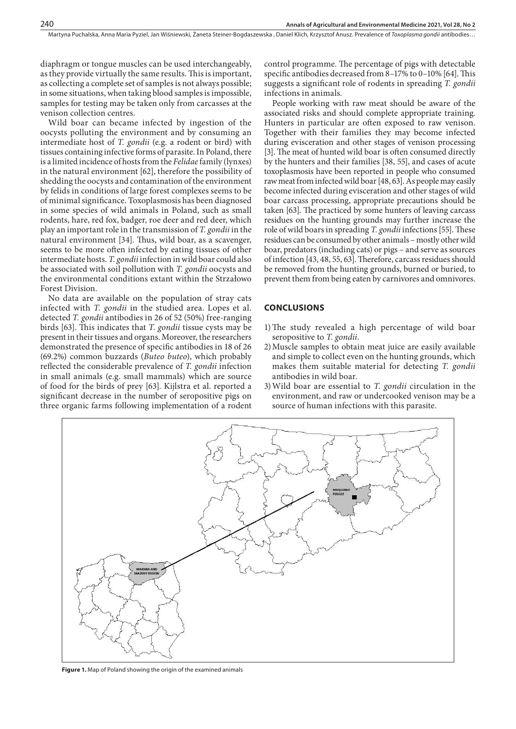diaphragm or tongue muscles can be used interchangeably, as they provide virtually the same results. This is important, as collecting a complete set of samples is not always possible; in some situations, when taking blood samples is impossible, samples for testing may be taken only from carcasses at the venison collection centres.

Wild boar can became infected by ingestion of the oocysts polluting the environment and by consuming an intermediate host of *T. gondii* (e.g. a rodent or bird) with tissues containing infective forms of parasite. In Poland, there is a limited incidence of hosts from the *Felidae* family (lynxes) in the natural environment [62], therefore the possibility of shedding the oocysts and contamination of the environment by felids in conditions of large forest complexes seems to be of minimal significance. Toxoplasmosis has been diagnosed in some species of wild animals in Poland, such as small rodents, hare, red fox, badger, roe deer and red deer, which play an important role in the transmission of *T. gondii* in the natural environment [34]. Thus, wild boar, as a scavenger, seems to be more often infected by eating tissues of other intermediate hosts. *T. gondii* infection in wild boar could also be associated with soil pollution with *T. gondii* oocysts and the environmental conditions extant within the Strzałowo Forest Division.

No data are available on the population of stray cats infected with *T. gondii* in the studied area. Lopes et al. detected *T. gondii* antibodies in 26 of 52 (50%) free-ranging birds [63]. This indicates that *T. gondii* tissue cysts may be present in their tissues and organs. Moreover, the researchers demonstrated the presence of specific antibodies in 18 of 26 (69.2%) common buzzards (*Buteo buteo*), which probably reflected the considerable prevalence of *T. gondii* infection in small animals (e.g. small mammals) which are source of food for the birds of prey [63]. Kijlstra et al. reported a significant decrease in the number of seropositive pigs on three organic farms following implementation of a rodent

control programme. The percentage of pigs with detectable specific antibodies decreased from 8–17% to 0–10% [64]. This suggests a significant role of rodents in spreading *T. gondii* infections in animals.

People working with raw meat should be aware of the associated risks and should complete appropriate training. Hunters in particular are often exposed to raw venison. Together with their families they may become infected during evisceration and other stages of venison processing [3]. The meat of hunted wild boar is often consumed directly by the hunters and their families [38, 55], and cases of acute toxoplasmosis have been reported in people who consumed raw meat from infected wild boar [48, 63]. As people may easily become infected during evisceration and other stages of wild boar carcass processing, appropriate precautions should be taken [63]. The practiced by some hunters of leaving carcass residues on the hunting grounds may further increase the role of wild boars in spreading *T. gondii* infections [55]. These residues can be consumed by other animals – mostly other wild boar, predators (including cats) or pigs – and serve as sources of infection [43, 48, 55, 63]. Therefore, carcass residues should be removed from the hunting grounds, burned or buried, to prevent them from being eaten by carnivores and omnivores.

#### **CONCLUSIONS**

- 1)The study revealed a high percentage of wild boar seropositive to *T. gondii*.
- 2)Muscle samples to obtain meat juice are easily available and simple to collect even on the hunting grounds, which makes them suitable material for detecting *T. gondii* antibodies in wild boar.
- 3)Wild boar are essential to *T. gondii* circulation in the environment, and raw or undercooked venison may be a source of human infections with this parasite.



**Figure 1.** Map of Poland showing the origin of the examined animals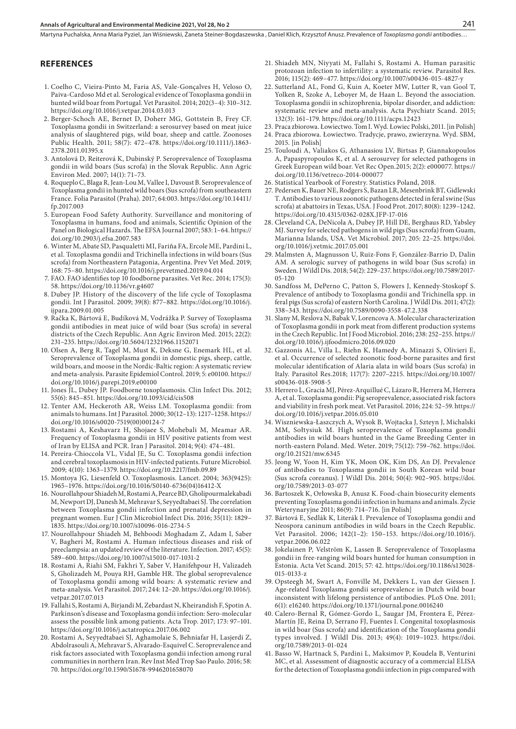Martyna Puchalska, Anna Maria Pyziel, Jan Wiśniewski, Żaneta Steiner-Bogdaszewska , Daniel Klich, Krzysztof Anusz . Prevalence of *Toxoplasma gondii* antibodies…

#### **REFERENCES**

- 1. Coelho C, Vieira-Pinto M, Faria AS, Vale-Gonçalves H, Veloso O, Paiva-Cardoso Md et al. Serological evidence of Toxoplasma gondii in hunted wild boar from Portugal. Vet Parasitol. 2014; 202(3–4): 310–312. https://doi.org/10.1016/j.vetpar.2014.03.013
- 2. Berger-Schoch AE, Bernet D, Doherr MG, Gottstein B, Frey CF. Toxoplasma gondii in Switzerland: a serosurvey based on meat juice analysis of slaughtered pigs, wild boar, sheep and cattle. Zoonoses Public Health. 2011; 58(7): 472–478. https://doi.org/10.1111/j.1863- 2378.2011.01395.x
- 3. Antolová D, Reiterová K, Dubinský P. Seroprevalence of Toxoplasma gondii in wild boars (Sus scrofa) in the Slovak Republic. Ann Agric Environ Med. 2007; 14(1): 71–73.
- 4. Roqueplo C, Blaga R, Jean-Lou M, Vallee I, Davoust B. Seroprevalence of Toxoplasma gondii in hunted wild boars (Sus scrofa) from southeastern France. Folia Parasitol (Praha). 2017; 64:003. https://doi.org/10.14411/ fp.2017.003
- 5. European Food Safety Authority. Surveillance and monitoring of Toxoplasma in humans, food and animals, Scientific Opinion of the Panel on Biological Hazards. The EFSA Journal 2007; 583: 1–64. https:// doi.org/10.2903/j.efsa.2007.583
- 6. Winter M, Abate SD, Pasqualetti MI, Fariña FA, Ercole ME, Pardini L, et al. Toxoplasma gondii and Trichinella infections in wild boars (Sus scrofa) from Northeastern Patagonia, Argentina. Prev Vet Med. 2019; 168: 75–80. https://doi.org/10.1016/j.prevetmed.2019.04.014
- 7. FAO. FAO identifies top 10 foodborne parasites. Vet Rec. 2014; 175(3): 58. https://doi.org/10.1136/vr.g4607
- 8. Dubey JP. History of the discovery of the life cycle of Toxoplasma gondii. Int J Parasitol. 2009; 39(8): 877–882. https://doi.org/10.1016/j. ijpara.2009.01.005
- 9. Račka K, Bártová E, Budíková M, Vodrážka P. Survey of Toxoplasma gondii antibodies in meat juice of wild boar (Sus scrofa) in several districts of the Czech Republic. Ann Agric Environ Med. 2015; 22(2): 231–235. https://doi.org/10.5604/12321966.1152071
- 10. Olsen A, Berg R, Tagel M, Must K, Deksne G, Enemark HL, et al. Seroprevalence of Toxoplasma gondii in domestic pigs, sheep, cattle, wild boars, and moose in the Nordic-Baltic region: A systematic review and meta-analysis. Parasite Epidemiol Control. 2019; 5: e00100. https:// doi.org/10.1016/j.parepi.2019.e00100
- 11. Jones JL, Dubey JP. Foodborne toxoplasmosis. Clin Infect Dis. 2012; 55(6): 845–851. https://doi.org/10.1093/cid/cis508
- 12. Tenter AM, Heckeroth AR, Weiss LM. Toxoplasma gondii: from animals to humans. Int J Parasitol. 2000; 30(12–13): 1217–1258. https:// doi.org/10.1016/s0020-7519(00)00124-7
- 13. Rostami A, Keshavarz H, Shojaee S, Mohebali M, Meamar AR. Frequency of Toxoplasma gondii in HIV positive patients from west of Iran by ELISA and PCR. Iran J Parasitol. 2014; 9(4): 474–481.
- 14. Pereira-Chioccola VL, Vidal JE, Su C. Toxoplasma gondii infection and cerebral toxoplasmosis in HIV-infected patients. Future Microbiol. 2009; 4(10): 1363–1379. https://doi.org/10.2217/fmb.09.89
- 15. Montoya JG, Liesenfeld O. Toxoplasmosis. Lancet. 2004; 363(9425): 1965–1976. https://doi.org/10.1016/S0140-6736(04)16412-X
- 16. Nourollahpour Shiadeh M, Rostami A, Pearce BD, Gholipourmalekabadi M, Newport DJ, Danesh M, Mehravar S, Seyyedtabaei SJ. The correlation between Toxoplasma gondii infection and prenatal depression in pregnant women. Eur J Clin Microbiol Infect Dis. 2016; 35(11): 1829– 1835. https://doi.org/10.1007/s10096-016-2734-5
- 17. Nourollahpour Shiadeh M, Behboodi Moghadam Z, Adam I, Saber V, Bagheri M, Rostami A. Human infectious diseases and risk of preeclampsia: an updated review of the literature. Infection. 2017; 45(5): 589–600. https://doi.org/10.1007/s15010-017-1031-2
- 18. Rostami A, Riahi SM, Fakhri Y, Saber V, Hanifehpour H, Valizadeh S, Gholizadeh M, Pouya RH, Gamble HR. The global seroprevalence of Toxoplasma gondii among wild boars: A systematic review and meta-analysis. Vet Parasitol. 2017; 244: 12–20. https://doi.org/10.1016/j. vetpar.2017.07.013
- 19. Fallahi S, Rostami A, Birjandi M, Zebardast N, Kheirandish F, Spotin A. Parkinson's disease and Toxoplasma gondii infection: Sero-molecular assess the possible link among patients. Acta Trop. 2017; 173: 97–101. https://doi.org/10.1016/j.actatropica.2017.06.002
- 20. Rostami A, Seyyedtabaei SJ, Aghamolaie S, Behniafar H, Lasjerdi Z, Abdolrasouli A, Mehravar S, Alvarado-Esquivel C. Seroprevalence and risk factors associated with Toxoplasma gondii infection among rural communities in northern Iran. Rev Inst Med Trop Sao Paulo. 2016; 58: 70. https://doi.org/10.1590/S1678-9946201658070
- 21. Shiadeh MN, Niyyati M, Fallahi S, Rostami A. Human parasitic protozoan infection to infertility: a systematic review. Parasitol Res. 2016; 115(2): 469–477. https://doi.org/10.1007/s00436-015-4827-y
- 22. Sutterland AL, Fond G, Kuin A, Koeter MW, Lutter R, van Gool T, Yolken R, Szoke A, Leboyer M, de Haan L. Beyond the association. Toxoplasma gondii in schizophrenia, bipolar disorder, and addiction: systematic review and meta-analysis. Acta Psychiatr Scand. 2015; 132(3): 161–179. https://doi.org/10.1111/acps.12423
- 23. Praca zbiorowa. Łowiectwo. Tom I. Wyd. Łowiec Polski, 2011. [in Polish] 24. Praca zbiorowa. Łowiectwo. Tradycje, prawo, zwierzyna. Wyd. SBM,
- 2015. [in Polish]
- 25. Touloudi A, Valiakos G, Athanasiou LV, Birtsas P, Giannakopoulos A, Papaspyropoulos K, et al. A serosurvey for selected pathogens in Greek European wild boar. Vet Rec Open.2015; 2(2): e000077. https:// doi.org/10.1136/vetreco-2014-000077
- 26. Statistical Yearbook of Forestry. Statistics Poland, 2018.
- 27. Pedersen K, Bauer NE, Rodgers S, Bazan LR, Mesenbrink BT, Gidlewski T. Antibodies to various zoonotic pathogens detected in feral swine (Sus scrofa) at abattoirs in Texas, USA. J Food Prot. 2017; 80(8): 1239–1242. https://doi.org/10.4315/0362-028X.JFP-17-016
- 28. Cleveland CA, DeNicola A, Dubey JP, Hill DE, Berghaus RD, Yabsley MJ. Survey for selected pathogens in wild pigs (Sus scrofa) from Guam, Marianna Islands, USA. Vet Microbiol. 2017; 205: 22–25. https://doi. org/10.1016/j.vetmic.2017.05.001
- 29. Malmsten A, Magnusson U, Ruiz-Fons F, González-Barrio D, Dalin AM. A serologic survey of pathogens in wild boar (Sus scrofa) in Sweden. J Wildl Dis. 2018; 54(2): 229–237. https://doi.org/10.7589/2017- 05-120
- 30. Sandfoss M, DePerno C, Patton S, Flowers J, Kennedy-Stoskopf S. Prevalence of antibody to Toxoplasma gondii and Trichinella spp. in feral pigs (Sus scrofa) of eastern North Carolina. J Wildl Dis. 2011; 47(2): 338–343. https://doi.org/10.7589/0090-3558-47.2.338
- 31. Slany M, Reslova N, Babak V, Lorencova A. Molecular characterization of Toxoplasma gondii in pork meat from different production systems in the Czech Republic. Int J Food Microbiol. 2016; 238: 252–255. https:// doi.org/10.1016/j.ijfoodmicro.2016.09.020
- 32. Gazzonis AL, Villa L, Riehn K, Hamedy A, Minazzi S, Olivieri E, et al. Occurrence of selected zoonotic food-borne parasites and first molecular identification of Alaria alata in wild boars (Sus scrofa) in Italy. Parasitol Res.2018; 117(7): 2207–2215. https://doi.org/10.1007/ s00436-018-5908-5
- 33. Herrero L, Gracia MJ, Pérez-Arquillué C, Lázaro R, Herrera M, Herrera A, et al. Toxoplasma gondii: Pig seroprevalence, associated risk factors and viability in fresh pork meat. Vet Parasitol. 2016; 224: 52–59. https:// doi.org/10.1016/j.vetpar.2016.05.010
- 34. Wiszniewska-Łaszczych A, Wysok B, Wojtacka J, Szteyn J, Michalski MM, Sołtysiuk M. High seroprevalence of Toxoplasma gondii antibodies in wild boars hunted in the Game Breeding Center in north-eastern Poland. Med. Weter. 2019; 75(12): 759–762. https://doi. org/10.21521/mw.6345
- 35. Jeong W, Yoon H, Kim YK, Moon OK, Kim DS, An DJ. Prevalence of antibodies to Toxoplasma gondii in South Korean wild boar (Sus scrofa coreanus). J Wildl Dis. 2014; 50(4): 902–905. https://doi. org/10.7589/2013-03-077
- 36. Bartoszek K, Orłowska B, Anusz K. Food-chain biosecurity elements preventing Toxoplasma gondii infection in humans and animals. Życie Weterynaryjne 2011; 86(9): 714–716. [in Polish]
- 37. Bártová E, Sedlák K, Literák I. Prevalence of Toxoplasma gondii and Neospora caninum antibodies in wild boars in the Czech Republic. Vet Parasitol. 2006; 142(1–2): 150–153. https://doi.org/10.1016/j. vetpar.2006.06.022
- 38. Jokelainen P, Velström K, Lassen B. Seroprevalence of Toxoplasma gondii in free-ranging wild boars hunted for human consumption in Estonia. Acta Vet Scand. 2015; 57: 42. https://doi.org/10.1186/s13028- 015-0133-z
- 39. Opsteegh M, Swart A, Fonville M, Dekkers L, van der Giessen J. Age-related Toxoplasma gondii seroprevalence in Dutch wild boar inconsistent with lifelong persistence of antibodies. PLoS One. 2011; 6(1): e16240. https://doi.org/10.1371/journal.pone.0016240
- 40. Calero-Bernal R, Gómez-Gordo L, Saugar JM, Frontera E, Pérez-Martín JE, Reina D, Serrano FJ, Fuentes I. Congenital toxoplasmosis in wild boar (Sus scrofa) and identification of the Toxoplasma gondii types involved. J Wildl Dis. 2013; 49(4): 1019–1023. https://doi. org/10.7589/2013-01-024
- 41. Basso W, Hartnack S, Pardini L, Maksimov P, Koudela B, Venturini MC, et al. Assessment of diagnostic accuracy of a commercial ELISA for the detection of Toxoplasma gondii infection in pigs compared with